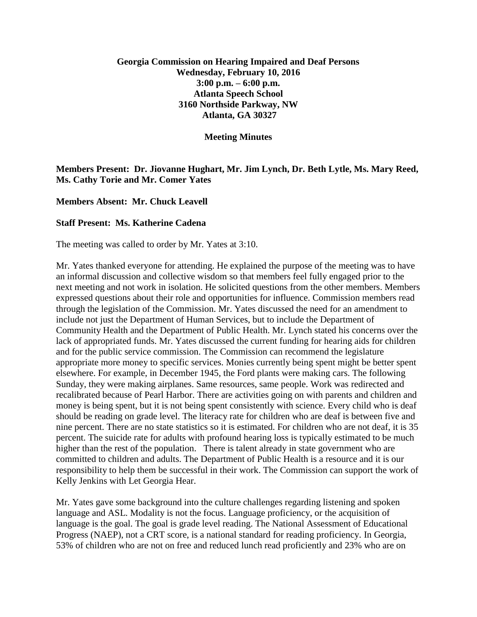# **Georgia Commission on Hearing Impaired and Deaf Persons Wednesday, February 10, 2016 3:00 p.m. – 6:00 p.m. Atlanta Speech School 3160 Northside Parkway, NW Atlanta, GA 30327**

#### **Meeting Minutes**

# **Members Present: Dr. Jiovanne Hughart, Mr. Jim Lynch, Dr. Beth Lytle, Ms. Mary Reed, Ms. Cathy Torie and Mr. Comer Yates**

### **Members Absent: Mr. Chuck Leavell**

### **Staff Present: Ms. Katherine Cadena**

The meeting was called to order by Mr. Yates at 3:10.

Mr. Yates thanked everyone for attending. He explained the purpose of the meeting was to have an informal discussion and collective wisdom so that members feel fully engaged prior to the next meeting and not work in isolation. He solicited questions from the other members. Members expressed questions about their role and opportunities for influence. Commission members read through the legislation of the Commission. Mr. Yates discussed the need for an amendment to include not just the Department of Human Services, but to include the Department of Community Health and the Department of Public Health. Mr. Lynch stated his concerns over the lack of appropriated funds. Mr. Yates discussed the current funding for hearing aids for children and for the public service commission. The Commission can recommend the legislature appropriate more money to specific services. Monies currently being spent might be better spent elsewhere. For example, in December 1945, the Ford plants were making cars. The following Sunday, they were making airplanes. Same resources, same people. Work was redirected and recalibrated because of Pearl Harbor. There are activities going on with parents and children and money is being spent, but it is not being spent consistently with science. Every child who is deaf should be reading on grade level. The literacy rate for children who are deaf is between five and nine percent. There are no state statistics so it is estimated. For children who are not deaf, it is 35 percent. The suicide rate for adults with profound hearing loss is typically estimated to be much higher than the rest of the population. There is talent already in state government who are committed to children and adults. The Department of Public Health is a resource and it is our responsibility to help them be successful in their work. The Commission can support the work of Kelly Jenkins with Let Georgia Hear.

Mr. Yates gave some background into the culture challenges regarding listening and spoken language and ASL. Modality is not the focus. Language proficiency, or the acquisition of language is the goal. The goal is grade level reading. The National Assessment of Educational Progress (NAEP), not a CRT score, is a national standard for reading proficiency. In Georgia, 53% of children who are not on free and reduced lunch read proficiently and 23% who are on